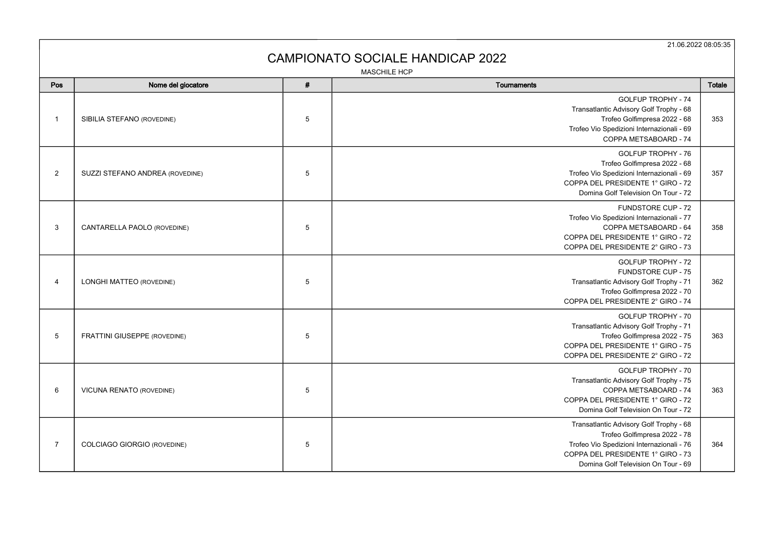21.06.2022 08:05:35

## CAMPIONATO SOCIALE HANDICAP 2022

MASCHILE HCP

| Pos            | Nome del giocatore                  | # | Tournaments                                                                                                                                                                                      | Totale |
|----------------|-------------------------------------|---|--------------------------------------------------------------------------------------------------------------------------------------------------------------------------------------------------|--------|
| $\mathbf{1}$   | SIBILIA STEFANO (ROVEDINE)          | 5 | <b>GOLFUP TROPHY - 74</b><br>Transatlantic Advisory Golf Trophy - 68<br>Trofeo Golfimpresa 2022 - 68<br>Trofeo Vio Spedizioni Internazionali - 69<br>COPPA METSABOARD - 74                       | 353    |
| $\overline{2}$ | SUZZI STEFANO ANDREA (ROVEDINE)     | 5 | GOLFUP TROPHY - 76<br>Trofeo Golfimpresa 2022 - 68<br>Trofeo Vio Spedizioni Internazionali - 69<br>COPPA DEL PRESIDENTE 1° GIRO - 72<br>Domina Golf Television On Tour - 72                      | 357    |
| 3              | CANTARELLA PAOLO (ROVEDINE)         | 5 | FUNDSTORE CUP - 72<br>Trofeo Vio Spedizioni Internazionali - 77<br>COPPA METSABOARD - 64<br>COPPA DEL PRESIDENTE 1° GIRO - 72<br>COPPA DEL PRESIDENTE 2° GIRO - 73                               | 358    |
| $\overline{4}$ | LONGHI MATTEO (ROVEDINE)            | 5 | <b>GOLFUP TROPHY - 72</b><br>FUNDSTORE CUP - 75<br>Transatlantic Advisory Golf Trophy - 71<br>Trofeo Golfimpresa 2022 - 70<br>COPPA DEL PRESIDENTE 2° GIRO - 74                                  | 362    |
| 5              | <b>FRATTINI GIUSEPPE (ROVEDINE)</b> | 5 | GOLFUP TROPHY - 70<br>Transatlantic Advisory Golf Trophy - 71<br>Trofeo Golfimpresa 2022 - 75<br>COPPA DEL PRESIDENTE 1° GIRO - 75<br>COPPA DEL PRESIDENTE 2° GIRO - 72                          | 363    |
| 6              | VICUNA RENATO (ROVEDINE)            | 5 | GOLFUP TROPHY - 70<br>Transatlantic Advisory Golf Trophy - 75<br>COPPA METSABOARD - 74<br>COPPA DEL PRESIDENTE 1° GIRO - 72<br>Domina Golf Television On Tour - 72                               | 363    |
| $\overline{7}$ | <b>COLCIAGO GIORGIO (ROVEDINE)</b>  | 5 | Transatlantic Advisory Golf Trophy - 68<br>Trofeo Golfimpresa 2022 - 78<br>Trofeo Vio Spedizioni Internazionali - 76<br>COPPA DEL PRESIDENTE 1° GIRO - 73<br>Domina Golf Television On Tour - 69 | 364    |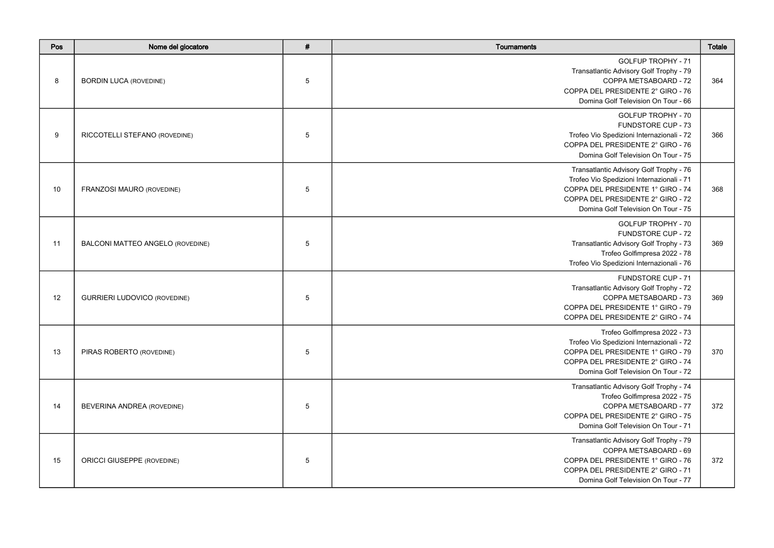| Pos | Nome del giocatore                  | # | Tournaments                                                                                                                                                                                           | Totale |
|-----|-------------------------------------|---|-------------------------------------------------------------------------------------------------------------------------------------------------------------------------------------------------------|--------|
| 8   | <b>BORDIN LUCA (ROVEDINE)</b>       | 5 | <b>GOLFUP TROPHY - 71</b><br>Transatlantic Advisory Golf Trophy - 79<br>COPPA METSABOARD - 72<br>COPPA DEL PRESIDENTE 2° GIRO - 76<br>Domina Golf Television On Tour - 66                             | 364    |
| 9   | RICCOTELLI STEFANO (ROVEDINE)       | 5 | GOLFUP TROPHY - 70<br><b>FUNDSTORE CUP - 73</b><br>Trofeo Vio Spedizioni Internazionali - 72<br>COPPA DEL PRESIDENTE 2° GIRO - 76<br>Domina Golf Television On Tour - 75                              | 366    |
| 10  | FRANZOSI MAURO (ROVEDINE)           | 5 | Transatlantic Advisory Golf Trophy - 76<br>Trofeo Vio Spedizioni Internazionali - 71<br>COPPA DEL PRESIDENTE 1° GIRO - 74<br>COPPA DEL PRESIDENTE 2° GIRO - 72<br>Domina Golf Television On Tour - 75 | 368    |
| 11  | BALCONI MATTEO ANGELO (ROVEDINE)    | 5 | GOLFUP TROPHY - 70<br><b>FUNDSTORE CUP - 72</b><br>Transatlantic Advisory Golf Trophy - 73<br>Trofeo Golfimpresa 2022 - 78<br>Trofeo Vio Spedizioni Internazionali - 76                               | 369    |
| 12  | <b>GURRIERI LUDOVICO (ROVEDINE)</b> | 5 | <b>FUNDSTORE CUP - 71</b><br>Transatlantic Advisory Golf Trophy - 72<br>COPPA METSABOARD - 73<br>COPPA DEL PRESIDENTE 1° GIRO - 79<br>COPPA DEL PRESIDENTE 2° GIRO - 74                               | 369    |
| 13  | PIRAS ROBERTO (ROVEDINE)            | 5 | Trofeo Golfimpresa 2022 - 73<br>Trofeo Vio Spedizioni Internazionali - 72<br>COPPA DEL PRESIDENTE 1° GIRO - 79<br>COPPA DEL PRESIDENTE 2° GIRO - 74<br>Domina Golf Television On Tour - 72            | 370    |
| 14  | BEVERINA ANDREA (ROVEDINE)          | 5 | Transatlantic Advisory Golf Trophy - 74<br>Trofeo Golfimpresa 2022 - 75<br>COPPA METSABOARD - 77<br>COPPA DEL PRESIDENTE 2° GIRO - 75<br>Domina Golf Television On Tour - 71                          | 372    |
| 15  | <b>ORICCI GIUSEPPE (ROVEDINE)</b>   | 5 | Transatlantic Advisory Golf Trophy - 79<br>COPPA METSABOARD - 69<br>COPPA DEL PRESIDENTE 1° GIRO - 76<br>COPPA DEL PRESIDENTE 2° GIRO - 71<br>Domina Golf Television On Tour - 77                     | 372    |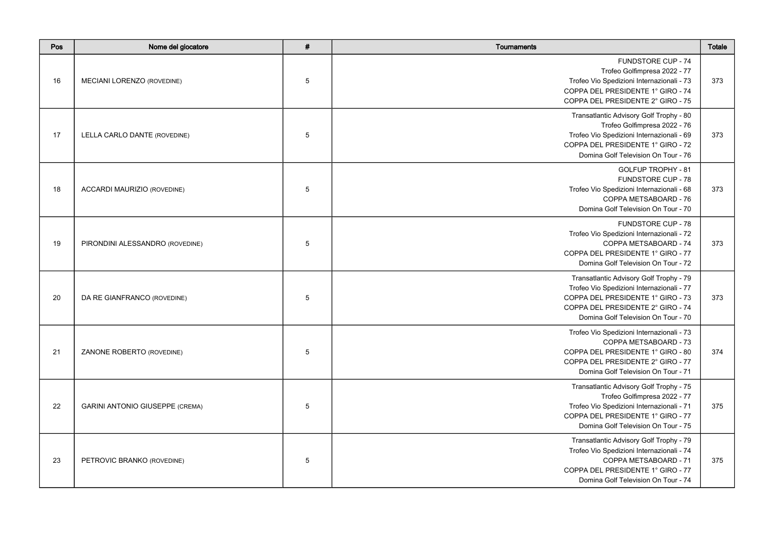| Pos | Nome del giocatore                     | # | Tournaments                                                                                                                                                                                           | Totale |
|-----|----------------------------------------|---|-------------------------------------------------------------------------------------------------------------------------------------------------------------------------------------------------------|--------|
| 16  | MECIANI LORENZO (ROVEDINE)             | 5 | <b>FUNDSTORE CUP - 74</b><br>Trofeo Golfimpresa 2022 - 77<br>Trofeo Vio Spedizioni Internazionali - 73<br>COPPA DEL PRESIDENTE 1° GIRO - 74<br>COPPA DEL PRESIDENTE 2° GIRO - 75                      | 373    |
| 17  | LELLA CARLO DANTE (ROVEDINE)           | 5 | Transatlantic Advisory Golf Trophy - 80<br>Trofeo Golfimpresa 2022 - 76<br>Trofeo Vio Spedizioni Internazionali - 69<br>COPPA DEL PRESIDENTE 1° GIRO - 72<br>Domina Golf Television On Tour - 76      | 373    |
| 18  | ACCARDI MAURIZIO (ROVEDINE)            | 5 | <b>GOLFUP TROPHY - 81</b><br><b>FUNDSTORE CUP - 78</b><br>Trofeo Vio Spedizioni Internazionali - 68<br>COPPA METSABOARD - 76<br>Domina Golf Television On Tour - 70                                   | 373    |
| 19  | PIRONDINI ALESSANDRO (ROVEDINE)        | 5 | FUNDSTORE CUP - 78<br>Trofeo Vio Spedizioni Internazionali - 72<br>COPPA METSABOARD - 74<br>COPPA DEL PRESIDENTE 1° GIRO - 77<br>Domina Golf Television On Tour - 72                                  | 373    |
| 20  | DA RE GIANFRANCO (ROVEDINE)            | 5 | Transatlantic Advisory Golf Trophy - 79<br>Trofeo Vio Spedizioni Internazionali - 77<br>COPPA DEL PRESIDENTE 1° GIRO - 73<br>COPPA DEL PRESIDENTE 2° GIRO - 74<br>Domina Golf Television On Tour - 70 | 373    |
| 21  | ZANONE ROBERTO (ROVEDINE)              | 5 | Trofeo Vio Spedizioni Internazionali - 73<br>COPPA METSABOARD - 73<br>COPPA DEL PRESIDENTE 1° GIRO - 80<br>COPPA DEL PRESIDENTE 2° GIRO - 77<br>Domina Golf Television On Tour - 71                   | 374    |
| 22  | <b>GARINI ANTONIO GIUSEPPE (CREMA)</b> | 5 | Transatlantic Advisory Golf Trophy - 75<br>Trofeo Golfimpresa 2022 - 77<br>Trofeo Vio Spedizioni Internazionali - 71<br>COPPA DEL PRESIDENTE 1° GIRO - 77<br>Domina Golf Television On Tour - 75      | 375    |
| 23  | PETROVIC BRANKO (ROVEDINE)             | 5 | Transatlantic Advisory Golf Trophy - 79<br>Trofeo Vio Spedizioni Internazionali - 74<br>COPPA METSABOARD - 71<br>COPPA DEL PRESIDENTE 1° GIRO - 77<br>Domina Golf Television On Tour - 74             | 375    |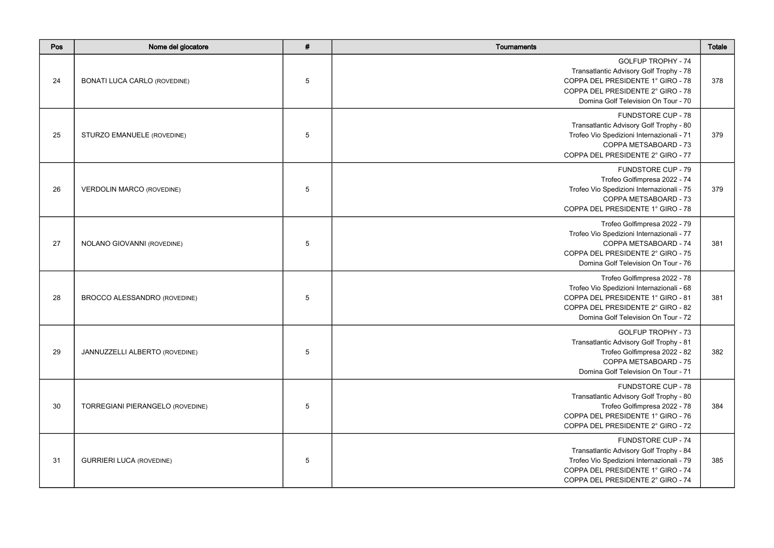| Pos | Nome del giocatore                  | $\pmb{\#}$      | Tournaments                                                                                                                                                                                 | <b>Totale</b> |
|-----|-------------------------------------|-----------------|---------------------------------------------------------------------------------------------------------------------------------------------------------------------------------------------|---------------|
| 24  | <b>BONATI LUCA CARLO (ROVEDINE)</b> | $5\phantom{.0}$ | <b>GOLFUP TROPHY - 74</b><br>Transatlantic Advisory Golf Trophy - 78<br>COPPA DEL PRESIDENTE 1° GIRO - 78<br>COPPA DEL PRESIDENTE 2° GIRO - 78<br>Domina Golf Television On Tour - 70       | 378           |
| 25  | STURZO EMANUELE (ROVEDINE)          | 5               | FUNDSTORE CUP - 78<br>Transatlantic Advisory Golf Trophy - 80<br>Trofeo Vio Spedizioni Internazionali - 71<br>COPPA METSABOARD - 73<br>COPPA DEL PRESIDENTE 2° GIRO - 77                    | 379           |
| 26  | <b>VERDOLIN MARCO (ROVEDINE)</b>    | 5               | FUNDSTORE CUP - 79<br>Trofeo Golfimpresa 2022 - 74<br>Trofeo Vio Spedizioni Internazionali - 75<br>COPPA METSABOARD - 73<br>COPPA DEL PRESIDENTE 1° GIRO - 78                               | 379           |
| 27  | NOLANO GIOVANNI (ROVEDINE)          | $5\phantom{.0}$ | Trofeo Golfimpresa 2022 - 79<br>Trofeo Vio Spedizioni Internazionali - 77<br>COPPA METSABOARD - 74<br>COPPA DEL PRESIDENTE 2° GIRO - 75<br>Domina Golf Television On Tour - 76              | 381           |
| 28  | BROCCO ALESSANDRO (ROVEDINE)        | $5\phantom{.0}$ | Trofeo Golfimpresa 2022 - 78<br>Trofeo Vio Spedizioni Internazionali - 68<br>COPPA DEL PRESIDENTE 1° GIRO - 81<br>COPPA DEL PRESIDENTE 2° GIRO - 82<br>Domina Golf Television On Tour - 72  | 381           |
| 29  | JANNUZZELLI ALBERTO (ROVEDINE)      | 5               | GOLFUP TROPHY - 73<br>Transatlantic Advisory Golf Trophy - 81<br>Trofeo Golfimpresa 2022 - 82<br>COPPA METSABOARD - 75<br>Domina Golf Television On Tour - 71                               | 382           |
| 30  | TORREGIANI PIERANGELO (ROVEDINE)    | 5               | FUNDSTORE CUP - 78<br>Transatlantic Advisory Golf Trophy - 80<br>Trofeo Golfimpresa 2022 - 78<br>COPPA DEL PRESIDENTE 1° GIRO - 76<br>COPPA DEL PRESIDENTE 2° GIRO - 72                     | 384           |
| 31  | <b>GURRIERI LUCA (ROVEDINE)</b>     | 5               | <b>FUNDSTORE CUP - 74</b><br>Transatlantic Advisory Golf Trophy - 84<br>Trofeo Vio Spedizioni Internazionali - 79<br>COPPA DEL PRESIDENTE 1° GIRO - 74<br>COPPA DEL PRESIDENTE 2° GIRO - 74 | 385           |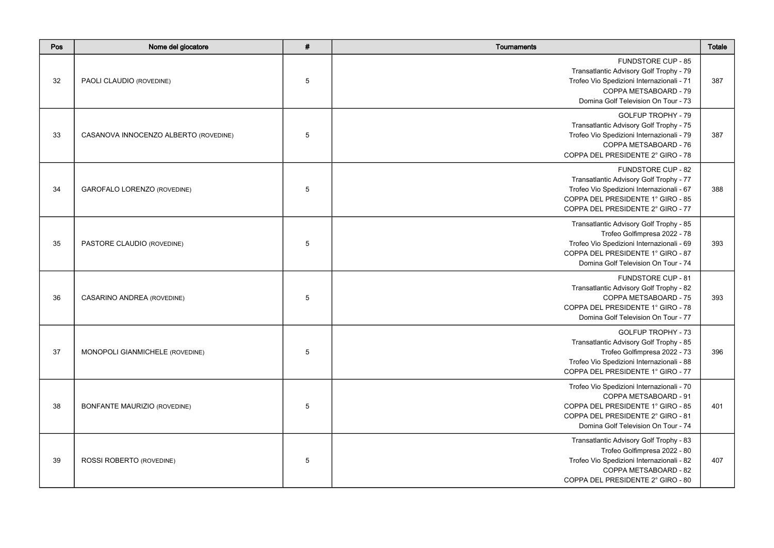| Pos | Nome del giocatore                    | $\pmb{\#}$      | Tournaments                                                                                                                                                                                      | <b>Totale</b> |
|-----|---------------------------------------|-----------------|--------------------------------------------------------------------------------------------------------------------------------------------------------------------------------------------------|---------------|
| 32  | PAOLI CLAUDIO (ROVEDINE)              | $5\phantom{.0}$ | <b>FUNDSTORE CUP - 85</b><br>Transatlantic Advisory Golf Trophy - 79<br>Trofeo Vio Spedizioni Internazionali - 71<br>COPPA METSABOARD - 79<br>Domina Golf Television On Tour - 73                | 387           |
| 33  | CASANOVA INNOCENZO ALBERTO (ROVEDINE) | 5               | GOLFUP TROPHY - 79<br>Transatlantic Advisory Golf Trophy - 75<br>Trofeo Vio Spedizioni Internazionali - 79<br>COPPA METSABOARD - 76<br>COPPA DEL PRESIDENTE 2° GIRO - 78                         | 387           |
| 34  | <b>GAROFALO LORENZO (ROVEDINE)</b>    | 5               | <b>FUNDSTORE CUP - 82</b><br>Transatlantic Advisory Golf Trophy - 77<br>Trofeo Vio Spedizioni Internazionali - 67<br>COPPA DEL PRESIDENTE 1° GIRO - 85<br>COPPA DEL PRESIDENTE 2° GIRO - 77      | 388           |
| 35  | PASTORE CLAUDIO (ROVEDINE)            | $5\phantom{.0}$ | Transatlantic Advisory Golf Trophy - 85<br>Trofeo Golfimpresa 2022 - 78<br>Trofeo Vio Spedizioni Internazionali - 69<br>COPPA DEL PRESIDENTE 1° GIRO - 87<br>Domina Golf Television On Tour - 74 | 393           |
| 36  | CASARINO ANDREA (ROVEDINE)            | $5\phantom{.0}$ | <b>FUNDSTORE CUP - 81</b><br>Transatlantic Advisory Golf Trophy - 82<br>COPPA METSABOARD - 75<br>COPPA DEL PRESIDENTE 1° GIRO - 78<br>Domina Golf Television On Tour - 77                        | 393           |
| 37  | MONOPOLI GIANMICHELE (ROVEDINE)       | 5               | GOLFUP TROPHY - 73<br>Transatlantic Advisory Golf Trophy - 85<br>Trofeo Golfimpresa 2022 - 73<br>Trofeo Vio Spedizioni Internazionali - 88<br>COPPA DEL PRESIDENTE 1° GIRO - 77                  | 396           |
| 38  | <b>BONFANTE MAURIZIO (ROVEDINE)</b>   | 5               | Trofeo Vio Spedizioni Internazionali - 70<br>COPPA METSABOARD - 91<br>COPPA DEL PRESIDENTE 1° GIRO - 85<br>COPPA DEL PRESIDENTE 2° GIRO - 81<br>Domina Golf Television On Tour - 74              | 401           |
| 39  | ROSSI ROBERTO (ROVEDINE)              | 5               | Transatlantic Advisory Golf Trophy - 83<br>Trofeo Golfimpresa 2022 - 80<br>Trofeo Vio Spedizioni Internazionali - 82<br>COPPA METSABOARD - 82<br>COPPA DEL PRESIDENTE 2° GIRO - 80               | 407           |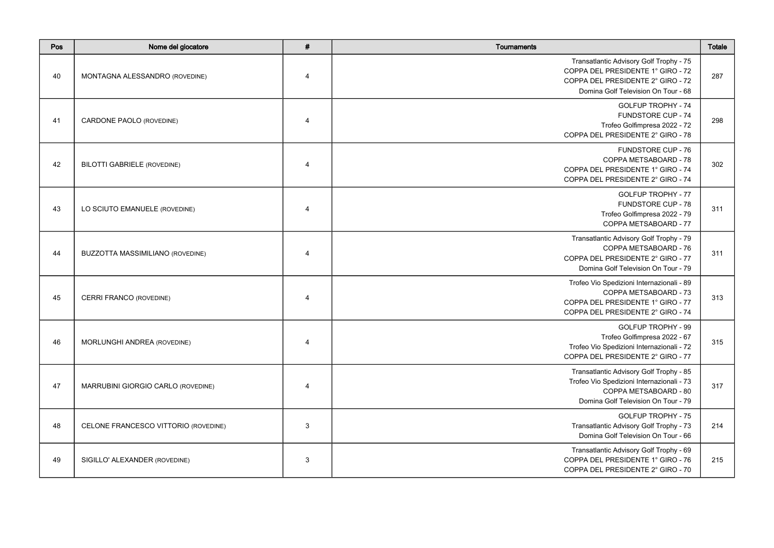| Pos | Nome del giocatore                   | $\#$           | <b>Tournaments</b>                                                                                                                                       | Totale |
|-----|--------------------------------------|----------------|----------------------------------------------------------------------------------------------------------------------------------------------------------|--------|
| 40  | MONTAGNA ALESSANDRO (ROVEDINE)       | $\overline{4}$ | Transatlantic Advisory Golf Trophy - 75<br>COPPA DEL PRESIDENTE 1° GIRO - 72<br>COPPA DEL PRESIDENTE 2° GIRO - 72<br>Domina Golf Television On Tour - 68 | 287    |
| 41  | CARDONE PAOLO (ROVEDINE)             | $\overline{4}$ | <b>GOLFUP TROPHY - 74</b><br><b>FUNDSTORE CUP - 74</b><br>Trofeo Golfimpresa 2022 - 72<br>COPPA DEL PRESIDENTE 2° GIRO - 78                              | 298    |
| 42  | <b>BILOTTI GABRIELE (ROVEDINE)</b>   | $\overline{4}$ | <b>FUNDSTORE CUP - 76</b><br>COPPA METSABOARD - 78<br>COPPA DEL PRESIDENTE 1° GIRO - 74<br>COPPA DEL PRESIDENTE 2° GIRO - 74                             | 302    |
| 43  | LO SCIUTO EMANUELE (ROVEDINE)        | 4              | <b>GOLFUP TROPHY - 77</b><br><b>FUNDSTORE CUP - 78</b><br>Trofeo Golfimpresa 2022 - 79<br>COPPA METSABOARD - 77                                          | 311    |
| 44  | BUZZOTTA MASSIMILIANO (ROVEDINE)     | $\overline{4}$ | Transatlantic Advisory Golf Trophy - 79<br>COPPA METSABOARD - 76<br>COPPA DEL PRESIDENTE 2° GIRO - 77<br>Domina Golf Television On Tour - 79             | 311    |
| 45  | CERRI FRANCO (ROVEDINE)              | $\overline{4}$ | Trofeo Vio Spedizioni Internazionali - 89<br>COPPA METSABOARD - 73<br>COPPA DEL PRESIDENTE 1° GIRO - 77<br>COPPA DEL PRESIDENTE 2° GIRO - 74             | 313    |
| 46  | MORLUNGHI ANDREA (ROVEDINE)          | 4              | GOLFUP TROPHY - 99<br>Trofeo Golfimpresa 2022 - 67<br>Trofeo Vio Spedizioni Internazionali - 72<br>COPPA DEL PRESIDENTE 2° GIRO - 77                     | 315    |
| 47  | MARRUBINI GIORGIO CARLO (ROVEDINE)   | $\overline{4}$ | Transatlantic Advisory Golf Trophy - 85<br>Trofeo Vio Spedizioni Internazionali - 73<br>COPPA METSABOARD - 80<br>Domina Golf Television On Tour - 79     | 317    |
| 48  | CELONE FRANCESCO VITTORIO (ROVEDINE) | $\mathbf{3}$   | <b>GOLFUP TROPHY - 75</b><br>Transatlantic Advisory Golf Trophy - 73<br>Domina Golf Television On Tour - 66                                              | 214    |
| 49  | SIGILLO' ALEXANDER (ROVEDINE)        | 3              | Transatlantic Advisory Golf Trophy - 69<br>COPPA DEL PRESIDENTE 1° GIRO - 76<br>COPPA DEL PRESIDENTE 2° GIRO - 70                                        | 215    |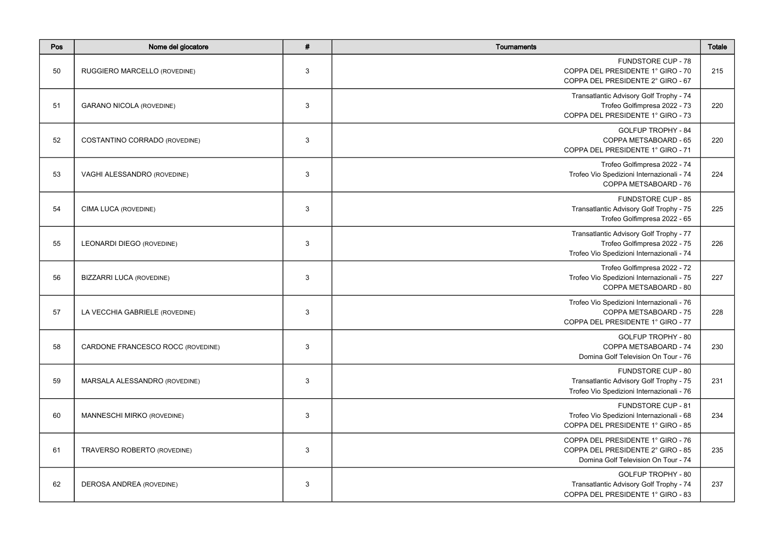| Pos | Nome del giocatore                | # | Tournaments                                                                                                          | <b>Totale</b> |
|-----|-----------------------------------|---|----------------------------------------------------------------------------------------------------------------------|---------------|
| 50  | RUGGIERO MARCELLO (ROVEDINE)      | 3 | <b>FUNDSTORE CUP - 78</b><br>COPPA DEL PRESIDENTE 1° GIRO - 70<br>COPPA DEL PRESIDENTE 2° GIRO - 67                  | 215           |
| 51  | <b>GARANO NICOLA (ROVEDINE)</b>   | 3 | Transatlantic Advisory Golf Trophy - 74<br>Trofeo Golfimpresa 2022 - 73<br>COPPA DEL PRESIDENTE 1° GIRO - 73         | 220           |
| 52  | COSTANTINO CORRADO (ROVEDINE)     | 3 | <b>GOLFUP TROPHY - 84</b><br>COPPA METSABOARD - 65<br>COPPA DEL PRESIDENTE 1° GIRO - 71                              | 220           |
| 53  | VAGHI ALESSANDRO (ROVEDINE)       | 3 | Trofeo Golfimpresa 2022 - 74<br>Trofeo Vio Spedizioni Internazionali - 74<br>COPPA METSABOARD - 76                   | 224           |
| 54  | CIMA LUCA (ROVEDINE)              | 3 | <b>FUNDSTORE CUP - 85</b><br>Transatlantic Advisory Golf Trophy - 75<br>Trofeo Golfimpresa 2022 - 65                 | 225           |
| 55  | LEONARDI DIEGO (ROVEDINE)         | 3 | Transatlantic Advisory Golf Trophy - 77<br>Trofeo Golfimpresa 2022 - 75<br>Trofeo Vio Spedizioni Internazionali - 74 | 226           |
| 56  | <b>BIZZARRI LUCA (ROVEDINE)</b>   | 3 | Trofeo Golfimpresa 2022 - 72<br>Trofeo Vio Spedizioni Internazionali - 75<br>COPPA METSABOARD - 80                   | 227           |
| 57  | LA VECCHIA GABRIELE (ROVEDINE)    | 3 | Trofeo Vio Spedizioni Internazionali - 76<br>COPPA METSABOARD - 75<br>COPPA DEL PRESIDENTE 1° GIRO - 77              | 228           |
| 58  | CARDONE FRANCESCO ROCC (ROVEDINE) | 3 | GOLFUP TROPHY - 80<br>COPPA METSABOARD - 74<br>Domina Golf Television On Tour - 76                                   | 230           |
| 59  | MARSALA ALESSANDRO (ROVEDINE)     | 3 | FUNDSTORE CUP - 80<br>Transatlantic Advisory Golf Trophy - 75<br>Trofeo Vio Spedizioni Internazionali - 76           | 231           |
| 60  | MANNESCHI MIRKO (ROVEDINE)        | 3 | FUNDSTORE CUP - 81<br>Trofeo Vio Spedizioni Internazionali - 68<br>COPPA DEL PRESIDENTE 1° GIRO - 85                 | 234           |
| 61  | TRAVERSO ROBERTO (ROVEDINE)       | 3 | COPPA DEL PRESIDENTE 1° GIRO - 76<br>COPPA DEL PRESIDENTE 2° GIRO - 85<br>Domina Golf Television On Tour - 74        | 235           |
| 62  | DEROSA ANDREA (ROVEDINE)          | 3 | GOLFUP TROPHY - 80<br>Transatlantic Advisory Golf Trophy - 74<br>COPPA DEL PRESIDENTE 1° GIRO - 83                   | 237           |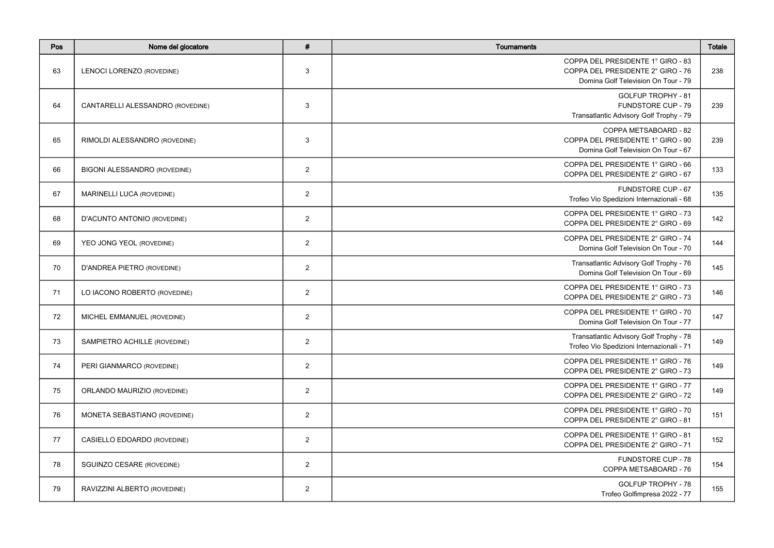| Pos | Nome del giocatore                  | #              | <b>Tournaments</b>                                                                                            | <b>Totale</b> |
|-----|-------------------------------------|----------------|---------------------------------------------------------------------------------------------------------------|---------------|
| 63  | LENOCI LORENZO (ROVEDINE)           | 3              | COPPA DEL PRESIDENTE 1° GIRO - 83<br>COPPA DEL PRESIDENTE 2° GIRO - 76<br>Domina Golf Television On Tour - 79 | 238           |
| 64  | CANTARELLI ALESSANDRO (ROVEDINE)    | 3              | GOLFUP TROPHY - 81<br><b>FUNDSTORE CUP - 79</b><br>Transatlantic Advisory Golf Trophy - 79                    | 239           |
| 65  | RIMOLDI ALESSANDRO (ROVEDINE)       | 3              | COPPA METSABOARD - 82<br>COPPA DEL PRESIDENTE 1° GIRO - 90<br>Domina Golf Television On Tour - 67             | 239           |
| 66  | <b>BIGONI ALESSANDRO (ROVEDINE)</b> | $\overline{2}$ | COPPA DEL PRESIDENTE 1° GIRO - 66<br>COPPA DEL PRESIDENTE 2° GIRO - 67                                        | 133           |
| 67  | MARINELLI LUCA (ROVEDINE)           | $\overline{2}$ | <b>FUNDSTORE CUP - 67</b><br>Trofeo Vio Spedizioni Internazionali - 68                                        | 135           |
| 68  | D'ACUNTO ANTONIO (ROVEDINE)         | $\overline{2}$ | COPPA DEL PRESIDENTE 1° GIRO - 73<br>COPPA DEL PRESIDENTE 2° GIRO - 69                                        | 142           |
| 69  | YEO JONG YEOL (ROVEDINE)            | $\overline{2}$ | COPPA DEL PRESIDENTE 2° GIRO - 74<br>Domina Golf Television On Tour - 70                                      | 144           |
| 70  | D'ANDREA PIETRO (ROVEDINE)          | $\overline{2}$ | Transatlantic Advisory Golf Trophy - 76<br>Domina Golf Television On Tour - 69                                | 145           |
| 71  | LO IACONO ROBERTO (ROVEDINE)        | $\overline{2}$ | COPPA DEL PRESIDENTE 1° GIRO - 73<br>COPPA DEL PRESIDENTE 2° GIRO - 73                                        | 146           |
| 72  | MICHEL EMMANUEL (ROVEDINE)          | $\overline{2}$ | COPPA DEL PRESIDENTE 1° GIRO - 70<br>Domina Golf Television On Tour - 77                                      | 147           |
| 73  | SAMPIETRO ACHILLE (ROVEDINE)        | $\overline{2}$ | Transatlantic Advisory Golf Trophy - 78<br>Trofeo Vio Spedizioni Internazionali - 71                          | 149           |
| 74  | PERI GIANMARCO (ROVEDINE)           | $\overline{2}$ | COPPA DEL PRESIDENTE 1° GIRO - 76<br>COPPA DEL PRESIDENTE 2° GIRO - 73                                        | 149           |
| 75  | ORLANDO MAURIZIO (ROVEDINE)         | $\overline{2}$ | COPPA DEL PRESIDENTE 1° GIRO - 77<br>COPPA DEL PRESIDENTE 2° GIRO - 72                                        | 149           |
| 76  | MONETA SEBASTIANO (ROVEDINE)        | $\overline{2}$ | COPPA DEL PRESIDENTE 1° GIRO - 70<br>COPPA DEL PRESIDENTE 2° GIRO - 81                                        | 151           |
| 77  | CASIELLO EDOARDO (ROVEDINE)         | $\overline{2}$ | COPPA DEL PRESIDENTE 1° GIRO - 81<br>COPPA DEL PRESIDENTE 2° GIRO - 71                                        | 152           |
| 78  | <b>SGUINZO CESARE (ROVEDINE)</b>    | $\overline{2}$ | FUNDSTORE CUP - 78<br>COPPA METSABOARD - 76                                                                   | 154           |
| 79  | RAVIZZINI ALBERTO (ROVEDINE)        | $\overline{2}$ | GOLFUP TROPHY - 78<br>Trofeo Golfimpresa 2022 - 77                                                            | 155           |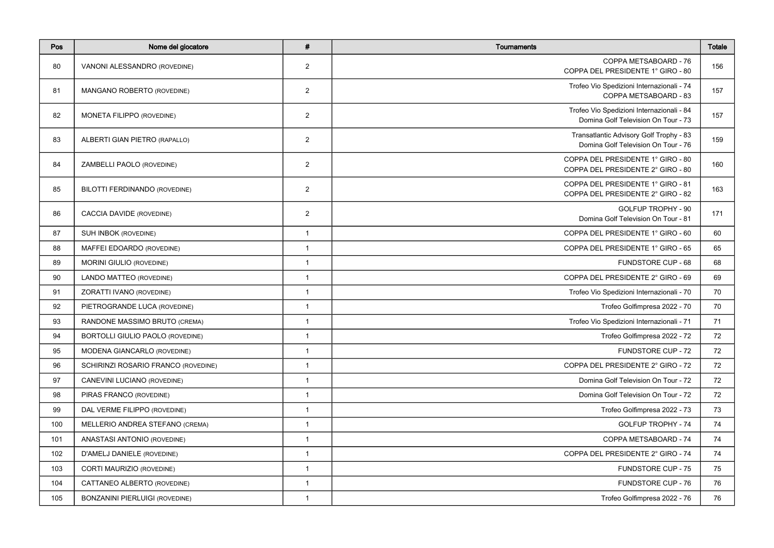| Pos | Nome del giocatore                      | $\pmb{\#}$     | Tournaments                                                                      | <b>Totale</b> |
|-----|-----------------------------------------|----------------|----------------------------------------------------------------------------------|---------------|
| 80  | VANONI ALESSANDRO (ROVEDINE)            | $\overline{2}$ | COPPA METSABOARD - 76<br>COPPA DEL PRESIDENTE 1° GIRO - 80                       | 156           |
| 81  | MANGANO ROBERTO (ROVEDINE)              | $\overline{2}$ | Trofeo Vio Spedizioni Internazionali - 74<br>COPPA METSABOARD - 83               | 157           |
| 82  | <b>MONETA FILIPPO (ROVEDINE)</b>        | $\overline{2}$ | Trofeo Vio Spedizioni Internazionali - 84<br>Domina Golf Television On Tour - 73 | 157           |
| 83  | ALBERTI GIAN PIETRO (RAPALLO)           | $\overline{2}$ | Transatlantic Advisory Golf Trophy - 83<br>Domina Golf Television On Tour - 76   | 159           |
| 84  | ZAMBELLI PAOLO (ROVEDINE)               | $\overline{2}$ | COPPA DEL PRESIDENTE 1° GIRO - 80<br>COPPA DEL PRESIDENTE 2° GIRO - 80           | 160           |
| 85  | BILOTTI FERDINANDO (ROVEDINE)           | 2              | COPPA DEL PRESIDENTE 1° GIRO - 81<br>COPPA DEL PRESIDENTE 2° GIRO - 82           | 163           |
| 86  | CACCIA DAVIDE (ROVEDINE)                | $\overline{2}$ | GOLFUP TROPHY - 90<br>Domina Golf Television On Tour - 81                        | 171           |
| 87  | SUH INBOK (ROVEDINE)                    | $\mathbf{1}$   | COPPA DEL PRESIDENTE 1° GIRO - 60                                                | 60            |
| 88  | MAFFEI EDOARDO (ROVEDINE)               | $\mathbf{1}$   | COPPA DEL PRESIDENTE 1° GIRO - 65                                                | 65            |
| 89  | <b>MORINI GIULIO (ROVEDINE)</b>         | $\mathbf{1}$   | FUNDSTORE CUP - 68                                                               | 68            |
| 90  | LANDO MATTEO (ROVEDINE)                 | $\mathbf{1}$   | COPPA DEL PRESIDENTE 2° GIRO - 69                                                | 69            |
| 91  | ZORATTI IVANO (ROVEDINE)                | $\mathbf{1}$   | Trofeo Vio Spedizioni Internazionali - 70                                        | 70            |
| 92  | PIETROGRANDE LUCA (ROVEDINE)            | $\mathbf{1}$   | Trofeo Golfimpresa 2022 - 70                                                     | 70            |
| 93  | RANDONE MASSIMO BRUTO (CREMA)           | $\mathbf{1}$   | Trofeo Vio Spedizioni Internazionali - 71                                        | 71            |
| 94  | <b>BORTOLLI GIULIO PAOLO (ROVEDINE)</b> | $\mathbf{1}$   | Trofeo Golfimpresa 2022 - 72                                                     | 72            |
| 95  | MODENA GIANCARLO (ROVEDINE)             | $\mathbf{1}$   | FUNDSTORE CUP - 72                                                               | 72            |
| 96  | SCHIRINZI ROSARIO FRANCO (ROVEDINE)     | $\mathbf{1}$   | COPPA DEL PRESIDENTE 2° GIRO - 72                                                | 72            |
| 97  | CANEVINI LUCIANO (ROVEDINE)             | $\mathbf{1}$   | Domina Golf Television On Tour - 72                                              | 72            |
| 98  | PIRAS FRANCO (ROVEDINE)                 | $\mathbf{1}$   | Domina Golf Television On Tour - 72                                              | 72            |
| 99  | DAL VERME FILIPPO (ROVEDINE)            | $\mathbf{1}$   | Trofeo Golfimpresa 2022 - 73                                                     | 73            |
| 100 | MELLERIO ANDREA STEFANO (CREMA)         | $\mathbf{1}$   | <b>GOLFUP TROPHY - 74</b>                                                        | 74            |
| 101 | ANASTASI ANTONIO (ROVEDINE)             | $\mathbf{1}$   | COPPA METSABOARD - 74                                                            | 74            |
| 102 | D'AMELJ DANIELE (ROVEDINE)              | $\mathbf{1}$   | COPPA DEL PRESIDENTE 2° GIRO - 74                                                | 74            |
| 103 | <b>CORTI MAURIZIO (ROVEDINE)</b>        | $\mathbf{1}$   | <b>FUNDSTORE CUP - 75</b>                                                        | 75            |
| 104 | CATTANEO ALBERTO (ROVEDINE)             | $\mathbf{1}$   | FUNDSTORE CUP - 76                                                               | 76            |
| 105 | <b>BONZANINI PIERLUIGI (ROVEDINE)</b>   | $\mathbf{1}$   | Trofeo Golfimpresa 2022 - 76                                                     | 76            |